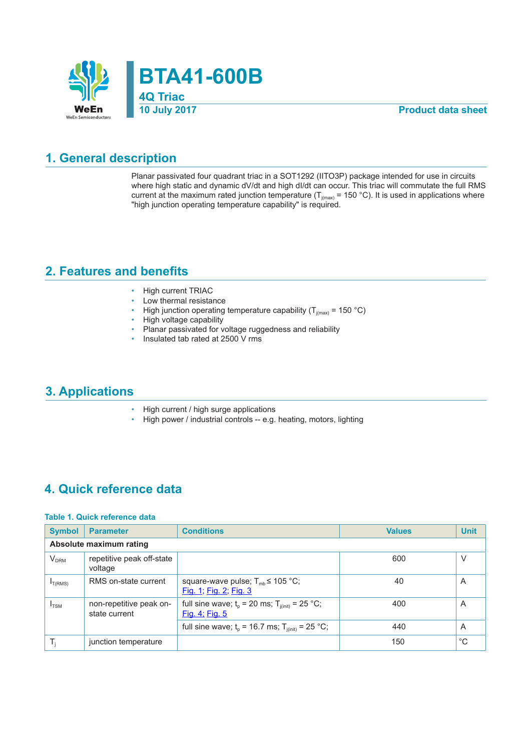

**Product data sheet** 

#### **1. General description**

Planar passivated four quadrant triac in a SOT1292 (IITO3P) package intended for use in circuits where high static and dynamic dV/dt and high dI/dt can occur. This triac will commutate the full RMS current at the maximum rated junction temperature ( $T_{j(max)}$  = 150 °C). It is used in applications where "high junction operating temperature capability" is required.

#### **2. Features and benefits**

- High current TRIAC
- Low thermal resistance
- High junction operating temperature capability ( $T_{j(max)}$  = 150 °C)
- High voltage capability
- Planar passivated for voltage ruggedness and reliability
- Insulated tab rated at 2500 V rms

#### **3. Applications**

- High current / high surge applications
- High power / industrial controls -- e.g. heating, motors, lighting

#### **4. Quick reference data**

#### **Table 1. Quick reference data**

| <b>Symbol</b>    | <b>Parameter</b>                         | <b>Conditions</b>                                                      | <b>Values</b> | <b>Unit</b> |  |  |  |  |
|------------------|------------------------------------------|------------------------------------------------------------------------|---------------|-------------|--|--|--|--|
|                  | Absolute maximum rating                  |                                                                        |               |             |  |  |  |  |
| $V_{DRM}$        | repetitive peak off-state<br>voltage     |                                                                        | 600           | V           |  |  |  |  |
| $I_{T(RMS)}$     | RMS on-state current                     | square-wave pulse; $T_{mb} \le 105$ °C;<br>Fig. 1; Fig. 2; Fig. 3      | 40            | A           |  |  |  |  |
| $I_{\text{TSM}}$ | non-repetitive peak on-<br>state current | full sine wave; $t_0$ = 20 ms; $T_{i(int)}$ = 25 °C;<br>Fig. 4; Fig. 5 | 400           | A           |  |  |  |  |
|                  |                                          | full sine wave; $t_0$ = 16.7 ms; $T_{i(int)}$ = 25 °C;                 | 440           | A           |  |  |  |  |
|                  | junction temperature                     |                                                                        | 150           | $^{\circ}C$ |  |  |  |  |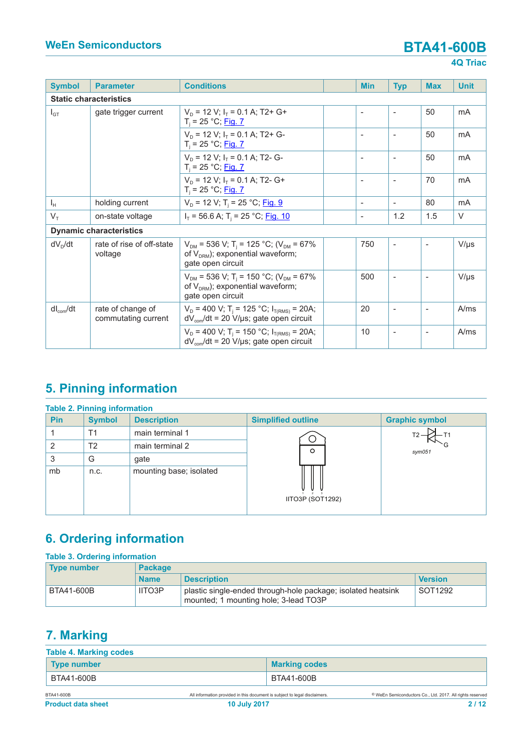| <b>Symbol</b>                                     | <b>Parameter</b>                         | <b>Conditions</b>                                                                                                               | <b>Min</b> | <b>Typ</b>               | <b>Max</b>               | <b>Unit</b> |
|---------------------------------------------------|------------------------------------------|---------------------------------------------------------------------------------------------------------------------------------|------------|--------------------------|--------------------------|-------------|
|                                                   | <b>Static characteristics</b>            |                                                                                                                                 |            |                          |                          |             |
| $I_{GT}$                                          | gate trigger current                     | $V_p = 12 V$ ; $I_r = 0.1 A$ ; T2+ G+<br>$T_i = 25 °C;$ Fig. 7                                                                  |            |                          | 50                       | mA          |
|                                                   |                                          | $V_p = 12$ V; $I_r = 0.1$ A; T2+ G-<br>$T_i = 25 °C;$ Fig. 7                                                                    |            |                          | 50                       | mA          |
|                                                   |                                          | $V_p = 12$ V: $I_r = 0.1$ A: T2- G-<br>$T_i = 25 °C;$ Fig. 7                                                                    | ÷          | $\overline{a}$           | 50                       | mA          |
|                                                   |                                          | $V_n = 12 V; I_{\tau} = 0.1 A; T2 - G+$<br>$T_i = 25 °C;$ Fig. 7                                                                |            | $\overline{\phantom{a}}$ | 70                       | mA          |
| $I_H$                                             | holding current                          | $V_{\rm D}$ = 12 V; T <sub>i</sub> = 25 °C; <u>Fig. 9</u>                                                                       |            |                          | 80                       | mA          |
| $V_T$                                             | on-state voltage                         | $I_T$ = 56.6 A; T <sub>i</sub> = 25 °C; <u>Fig. 10</u>                                                                          |            | 1.2                      | 1.5                      | $\vee$      |
|                                                   | <b>Dynamic characteristics</b>           |                                                                                                                                 |            |                          |                          |             |
| $dV_D/dt$<br>rate of rise of off-state<br>voltage |                                          | $V_{DM}$ = 536 V; T <sub>i</sub> = 125 °C; (V <sub>DM</sub> = 67%<br>of $V_{DRM}$ ); exponential waveform;<br>gate open circuit | 750        | $\overline{\phantom{a}}$ | $\overline{\phantom{a}}$ | $V/\mu s$   |
|                                                   |                                          | $V_{DM}$ = 536 V; T <sub>i</sub> = 150 °C; (V <sub>DM</sub> = 67%<br>of $V_{DRM}$ ; exponential waveform;<br>gate open circuit  | 500        |                          | $\overline{\phantom{a}}$ | $V/\mu s$   |
| $dl_{com}/dt$                                     | rate of change of<br>commutating current | $V_D$ = 400 V; T <sub>i</sub> = 125 °C; I <sub>T(RMS)</sub> = 20A;<br>$dV_{\text{com}}/dt = 20 V/\mu s$ ; gate open circuit     | 20         |                          | $\overline{\phantom{a}}$ | A/ms        |
|                                                   |                                          | $V_D$ = 400 V; T <sub>i</sub> = 150 °C; I <sub>T(RMS)</sub> = 20A;<br>$dV_{\text{com}}/dt = 20 V/\mu s$ ; gate open circuit     | 10         | $\overline{\phantom{a}}$ | $\overline{\phantom{a}}$ | A/ms        |

### **5. Pinning information**

| <b>Table 2. Pinning information</b> |               |                         |                           |                       |  |  |
|-------------------------------------|---------------|-------------------------|---------------------------|-----------------------|--|--|
| <b>Pin</b>                          | <b>Symbol</b> | <b>Description</b>      | <b>Simplified outline</b> | <b>Graphic symbol</b> |  |  |
|                                     | Τ1            | main terminal 1         |                           |                       |  |  |
| 2                                   | T2            | main terminal 2         | $\circ$                   | sym051                |  |  |
| 3                                   | G             | gate                    |                           |                       |  |  |
| mb                                  | n.c.          | mounting base; isolated | IITO3P (SOT1292)          |                       |  |  |

### **6. Ordering information**

| <b>Table 3. Ordering information</b> |                |                                                                                                       |                |  |  |  |
|--------------------------------------|----------------|-------------------------------------------------------------------------------------------------------|----------------|--|--|--|
| <b>Type number</b>                   | <b>Package</b> |                                                                                                       |                |  |  |  |
|                                      | <b>Name</b>    | <b>Description</b>                                                                                    | <b>Version</b> |  |  |  |
| BTA41-600B                           | <b>IITO3P</b>  | plastic single-ended through-hole package; isolated heatsink<br>mounted; 1 mounting hole; 3-lead TO3P | SOT1292        |  |  |  |

### **7. Marking**

| <b>Table 4. Marking codes</b> |                                                                            |                      |                                                                      |
|-------------------------------|----------------------------------------------------------------------------|----------------------|----------------------------------------------------------------------|
| <b>Type number</b>            |                                                                            | <b>Marking codes</b> |                                                                      |
| BTA41-600B                    | BTA41-600B                                                                 |                      |                                                                      |
| BTA41-600B                    | All information provided in this document is subject to legal disclaimers. |                      | <sup>©</sup> WeEn Semiconductors Co., Ltd. 2017. All rights reserved |
| <b>Product data sheet</b>     | <b>10 July 2017</b>                                                        |                      | 2/12                                                                 |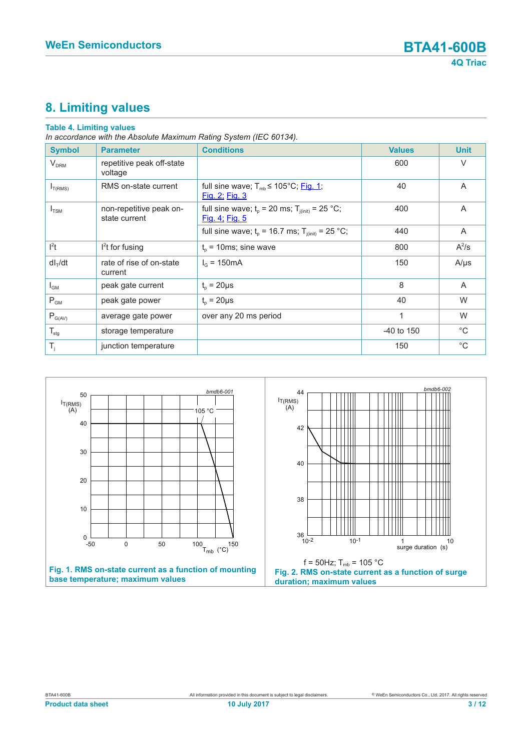### **8. Limiting values**

#### **Table 4. Limiting values**

*In accordance with the Absolute Maximum Rating System (IEC 60134).*

| <b>Symbol</b>          | <b>Parameter</b>                         | <b>Conditions</b>                                                             | <b>Values</b> | <b>Unit</b>    |
|------------------------|------------------------------------------|-------------------------------------------------------------------------------|---------------|----------------|
| <b>V<sub>DRM</sub></b> | repetitive peak off-state<br>voltage     |                                                                               | 600           | $\vee$         |
| $I_{T(RMS)}$           | RMS on-state current                     | full sine wave; $T_{mb} \leq 105^{\circ}$ C; Fig. 1;<br><u>Fig. 2; Fig. 3</u> | 40            | A              |
| $I_{TSM}$              | non-repetitive peak on-<br>state current | full sine wave; $t_0$ = 20 ms; $T_{i(int)}$ = 25 °C;<br>Fig. 4; Fig. 5        | 400           | $\overline{A}$ |
|                        |                                          | full sine wave; $t_p = 16.7$ ms; $T_{j(int)} = 25$ °C;                        | 440           | A              |
| $l^2t$                 | $l2$ t for fusing                        | $t_0$ = 10ms; sine wave                                                       | 800           | $A^2$ /s       |
| $dI_T/dt$              | rate of rise of on-state<br>current      | $I_{\odot}$ = 150 mA                                                          | 150           | $A/\mu s$      |
| $I_{GM}$               | peak gate current                        | $t_{p} = 20 \mu s$                                                            | 8             | $\mathsf{A}$   |
| $P_{GM}$               | peak gate power                          | $t_{o} = 20 \mu s$                                                            | 40            | W              |
| $P_{G(AV)}$            | average gate power                       | over any 20 ms period                                                         | 1             | W              |
| $T_{\text{stg}}$       | storage temperature                      |                                                                               | $-40$ to 150  | $^{\circ}C$    |
| $T_i$                  | junction temperature                     |                                                                               | 150           | $^{\circ}C$    |

<span id="page-2-1"></span><span id="page-2-0"></span>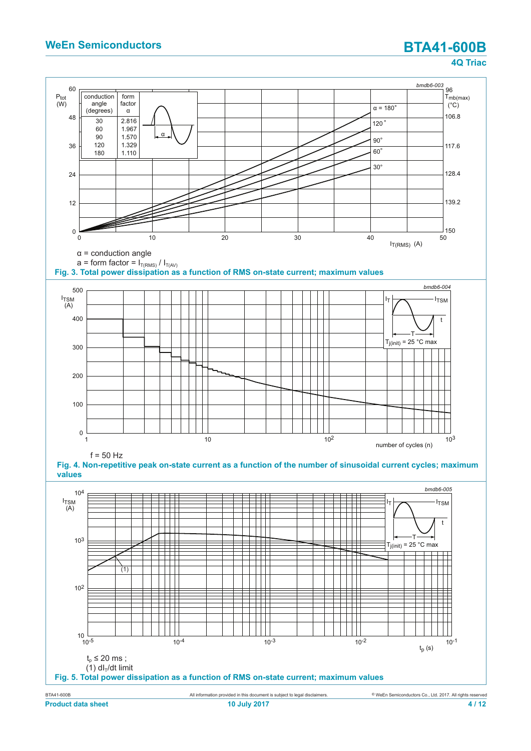<span id="page-3-2"></span><span id="page-3-1"></span><span id="page-3-0"></span>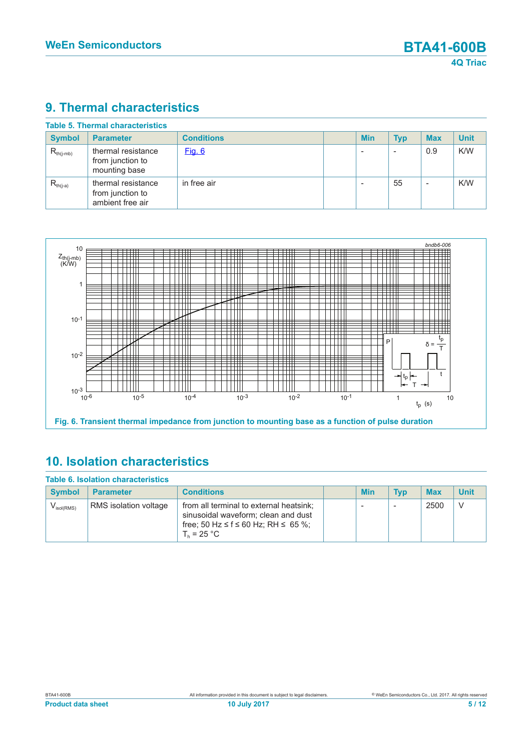#### **9. Thermal characteristics**

<span id="page-4-0"></span>

| <b>Symbol</b>  | <b>Parameter</b>                                           | <b>Conditions</b> | <b>Min</b> | <b>Typ</b> | <b>Max</b>               | <b>Unit</b> |
|----------------|------------------------------------------------------------|-------------------|------------|------------|--------------------------|-------------|
| $R_{th(j-mb)}$ | thermal resistance<br>from junction to<br>mounting base    | <u>Fig. 6</u>     |            |            | 0.9                      | K/W         |
| $R_{th(i-a)}$  | thermal resistance<br>from junction to<br>ambient free air | in free air       |            | 55         | $\overline{\phantom{a}}$ | K/W         |



### **10. Isolation characteristics**

| <b>Table 6. Isolation characteristics</b> |                       |                                                                                                                                          |  |            |            |            |              |
|-------------------------------------------|-----------------------|------------------------------------------------------------------------------------------------------------------------------------------|--|------------|------------|------------|--------------|
| <b>Symbol</b>                             | <b>Parameter</b>      | <b>Conditions</b>                                                                                                                        |  | <b>Min</b> | <b>Typ</b> | <b>Max</b> | <b>Unit</b>  |
| $V_{\rm isol(RMS)}$                       | RMS isolation voltage | from all terminal to external heatsink;<br>sinusoidal waveform; clean and dust<br>free; 50 Hz ≤ f ≤ 60 Hz; RH ≤ 65 %;<br>$T_{b}$ = 25 °C |  | -          |            | 2500       | <sup>V</sup> |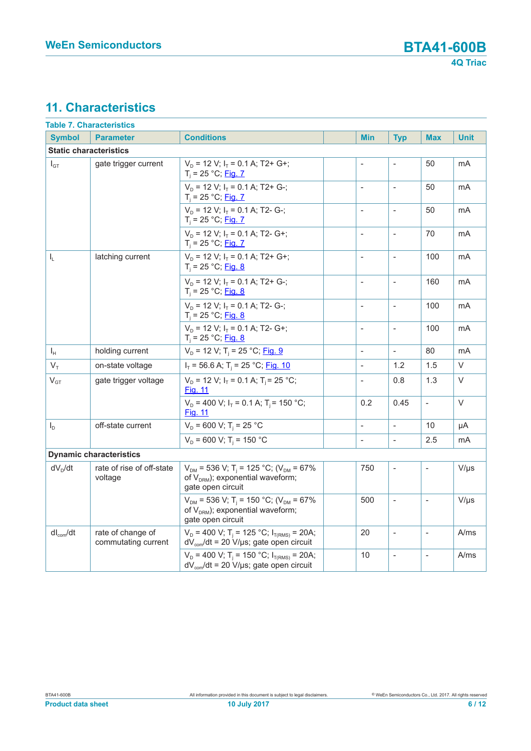#### **11. Characteristics**

| <b>Table 7. Characteristics</b> |                                          |                                                                                                                                        |  |                          |                          |                          |             |
|---------------------------------|------------------------------------------|----------------------------------------------------------------------------------------------------------------------------------------|--|--------------------------|--------------------------|--------------------------|-------------|
| <b>Symbol</b>                   | <b>Parameter</b>                         | <b>Conditions</b>                                                                                                                      |  | <b>Min</b>               | <b>Typ</b>               | <b>Max</b>               | <b>Unit</b> |
| <b>Static characteristics</b>   |                                          |                                                                                                                                        |  |                          |                          |                          |             |
| $I_{GT}$                        | gate trigger current                     | $V_D$ = 12 V; $I_T$ = 0.1 A; T2+ G+;<br>$T_i = 25 °C;$ Fig. 7                                                                          |  |                          |                          | 50                       | mA          |
|                                 |                                          | $V_D$ = 12 V; $I_T$ = 0.1 A; T2+ G-;<br>$T_i = 25 °C$ ; Fig. 7                                                                         |  |                          | $\overline{\phantom{a}}$ | 50                       | mA          |
|                                 |                                          | $V_{D}$ = 12 V; $I_{T}$ = 0.1 A; T2- G-;<br>$T_i = 25 °C;$ Fig. 7                                                                      |  | $\overline{a}$           | $\sim$                   | 50                       | mA          |
|                                 |                                          | $V_D$ = 12 V; $I_T$ = 0.1 A; T2- G+;<br>$T_i = 25 °C;$ Fig. 7                                                                          |  | $\bar{\phantom{a}}$      | $\overline{\phantom{a}}$ | 70                       | mA          |
| $\mathsf{I}_{\mathsf{L}}$       | latching current                         | $V_D$ = 12 V; $I_T$ = 0.1 A; T2+ G+;<br>$T_i = 25 °C;$ Fig. 8                                                                          |  | $\blacksquare$           | $\blacksquare$           | 100                      | mA          |
|                                 |                                          | $V_D$ = 12 V; $I_T$ = 0.1 A; T2+ G-;<br>$T_i = 25 °C;$ Fig. 8                                                                          |  | $\overline{\phantom{a}}$ | $\mathbb{L}$             | 160                      | mA          |
|                                 |                                          | $V_{D}$ = 12 V; $I_{T}$ = 0.1 A; T2- G-;<br>$T_i = 25 °C;$ Fig. 8                                                                      |  | $\overline{\phantom{a}}$ | $\mathbb{L}$             | 100                      | mA          |
|                                 |                                          | $V_{D}$ = 12 V; $I_{T}$ = 0.1 A; T2- G+;<br>$T_i = 25 °C;$ Fig. 8                                                                      |  | $\blacksquare$           | $\Box$                   | 100                      | mA          |
| $\mathsf{I}_{\mathsf{H}}$       | holding current                          | $V_D$ = 12 V; T <sub>i</sub> = 25 °C; <u>Fig. 9</u>                                                                                    |  | $\overline{\phantom{a}}$ | $\Box$                   | 80                       | mA          |
| $V_T$                           | on-state voltage                         | $I_T$ = 56.6 A; T <sub>i</sub> = 25 °C; Fig. 10                                                                                        |  | $\mathbf{r}$             | 1.2                      | 1.5                      | $\vee$      |
| $\mathsf{V}_{\texttt{GT}}$      | gate trigger voltage                     | $V_p = 12 V$ ; $I_T = 0.1 A$ ; T <sub>i</sub> = 25 °C;<br><b>Fig. 11</b>                                                               |  | $\bar{\phantom{a}}$      | 0.8                      | 1.3                      | $\vee$      |
|                                 |                                          | $V_p = 400$ V; $I_T = 0.1$ A; $T_i = 150$ °C;<br><b>Fig. 11</b>                                                                        |  | 0.2                      | 0.45                     | $\bar{\phantom{a}}$      | $\vee$      |
| $I_D$                           | off-state current                        | $V_{\text{D}}$ = 600 V; T <sub>i</sub> = 25 °C                                                                                         |  | $\bar{\phantom{a}}$      | $\mathbb{L}$             | 10                       | μA          |
|                                 |                                          | $V_D$ = 600 V; T <sub>i</sub> = 150 °C                                                                                                 |  | $\overline{\phantom{a}}$ | $\overline{\phantom{a}}$ | 2.5                      | mA          |
|                                 | <b>Dynamic characteristics</b>           |                                                                                                                                        |  |                          |                          |                          |             |
| $dV_D/dt$                       | rate of rise of off-state<br>voltage     | $V_{DM}$ = 536 V; T <sub>i</sub> = 125 °C; (V <sub>DM</sub> = 67%<br>of $V_{DRM}$ ); exponential waveform;<br>gate open circuit        |  | 750                      | $\frac{1}{2}$            | $\blacksquare$           | $V/\mu s$   |
|                                 |                                          | $V_{DM}$ = 536 V; T <sub>i</sub> = 150 °C; (V <sub>DM</sub> = 67%<br>of V <sub>DRM</sub> ); exponential waveform;<br>gate open circuit |  | 500                      | $\overline{a}$           | $\sim$                   | $V/\mu s$   |
| $dl_{com}/dt$                   | rate of change of<br>commutating current | $V_D$ = 400 V; T <sub>i</sub> = 125 °C; I <sub>T(RMS)</sub> = 20A;<br>$dV_{\text{com}}/dt = 20 V/\mu s$ ; gate open circuit            |  | 20                       | $\bar{\phantom{a}}$      | $\mathcal{L}$            | A/ms        |
|                                 |                                          | $V_D = 400$ V; T <sub>i</sub> = 150 °C; I <sub>T(RMS)</sub> = 20A;<br>$dV_{\text{com}}/dt = 20 V/\mu s$ ; gate open circuit            |  | 10                       | $\frac{1}{2}$            | $\overline{\phantom{a}}$ | A/ms        |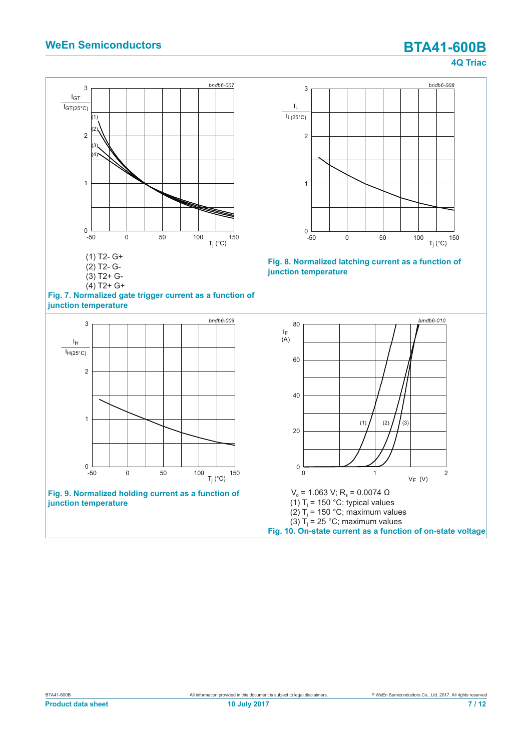<span id="page-6-3"></span><span id="page-6-2"></span><span id="page-6-1"></span><span id="page-6-0"></span>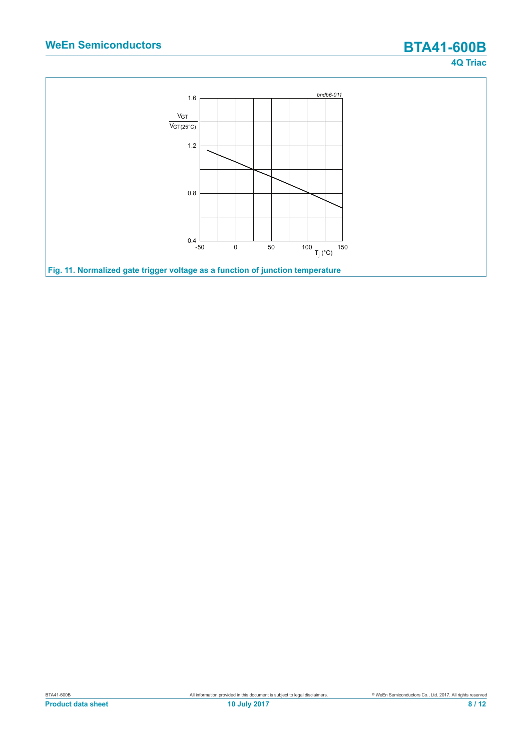<span id="page-7-0"></span>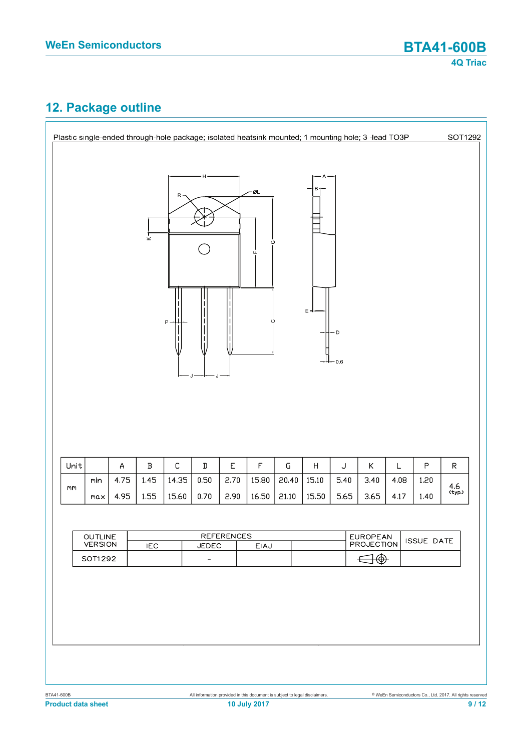#### **12. Package outline**

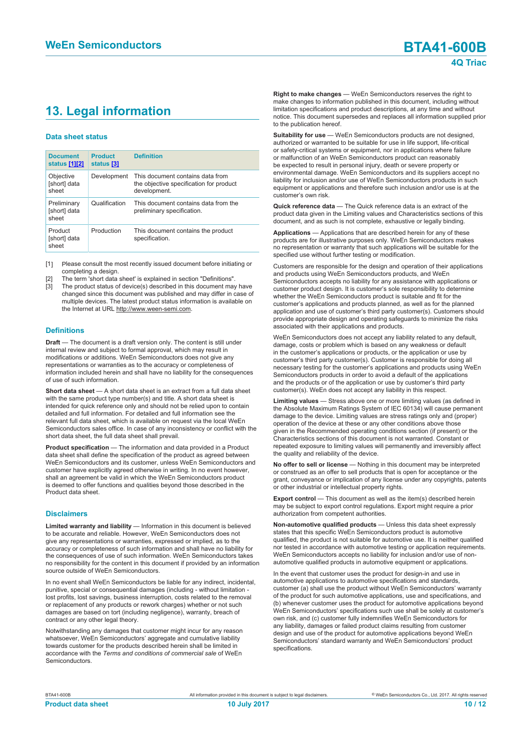### **13. Legal information**

#### **Data sheet status**

| <b>Document</b><br>status [1][2]     | <b>Product</b><br>status [3] | <b>Definition</b>                                                                           |
|--------------------------------------|------------------------------|---------------------------------------------------------------------------------------------|
| Objective<br>[short] data<br>sheet   | Development                  | This document contains data from<br>the objective specification for product<br>development. |
| Preliminary<br>[short] data<br>sheet | Qualification                | This document contains data from the<br>preliminary specification.                          |
| Product<br>[short] data<br>sheet     | Production                   | This document contains the product<br>specification.                                        |

[1] Please consult the most recently issued document before initiating or completing a design.

- [2] The term 'short data sheet' is explained in section "Definitions".
- [3] The product status of device(s) described in this document may have changed since this document was published and may differ in case of multiple devices. The latest product status information is available on the Internet at URL http://www.ween-semi.com.

#### **Definitions**

**Draft** — The document is a draft version only. The content is still under internal review and subject to formal approval, which may result in modifications or additions. WeEn Semiconductors does not give any representations or warranties as to the accuracy or completeness of information included herein and shall have no liability for the consequences of use of such information.

**Short data sheet** — A short data sheet is an extract from a full data sheet with the same product type number(s) and title. A short data sheet is intended for quick reference only and should not be relied upon to contain detailed and full information. For detailed and full information see the relevant full data sheet, which is available on request via the local WeEn Semiconductors sales office. In case of any inconsistency or conflict with the short data sheet, the full data sheet shall prevail.

**Product specification** — The information and data provided in a Product data sheet shall define the specification of the product as agreed between WeEn Semiconductors and its customer, unless WeEn Semiconductors and customer have explicitly agreed otherwise in writing. In no event however, shall an agreement be valid in which the WeEn Semiconductors product is deemed to offer functions and qualities beyond those described in the Product data sheet.

#### **Disclaimers**

**Limited warranty and liability** — Information in this document is believed to be accurate and reliable. However, WeEn Semiconductors does not give any representations or warranties, expressed or implied, as to the accuracy or completeness of such information and shall have no liability for the consequences of use of such information. WeEn Semiconductors takes no responsibility for the content in this document if provided by an information source outside of WeEn Semiconductors.

In no event shall WeEn Semiconductors be liable for any indirect, incidental, punitive, special or consequential damages (including - without limitation lost profits, lost savings, business interruption, costs related to the removal or replacement of any products or rework charges) whether or not such damages are based on tort (including negligence), warranty, breach of contract or any other legal theory.

Notwithstanding any damages that customer might incur for any reason whatsoever, WeEn Semiconductors' aggregate and cumulative liability towards customer for the products described herein shall be limited in accordance with the *Terms and conditions of commercial sale* of WeEn **Semiconductors** 

**Right to make changes** — WeEn Semiconductors reserves the right to make changes to information published in this document, including without limitation specifications and product descriptions, at any time and without notice. This document supersedes and replaces all information supplied prior to the publication hereof.

**Suitability for use** — WeEn Semiconductors products are not designed, authorized or warranted to be suitable for use in life support, life-critical or safety-critical systems or equipment, nor in applications where failure or malfunction of an WeEn Semiconductors product can reasonably be expected to result in personal injury, death or severe property or environmental damage. WeEn Semiconductors and its suppliers accept no liability for inclusion and/or use of WeEn Semiconductors products in such equipment or applications and therefore such inclusion and/or use is at the customer's own risk.

**Quick reference data** — The Quick reference data is an extract of the product data given in the Limiting values and Characteristics sections of this document, and as such is not complete, exhaustive or legally binding.

**Applications** — Applications that are described herein for any of these products are for illustrative purposes only. WeEn Semiconductors makes no representation or warranty that such applications will be suitable for the specified use without further testing or modification.

Customers are responsible for the design and operation of their applications and products using WeEn Semiconductors products, and WeEn Semiconductors accepts no liability for any assistance with applications or customer product design. It is customer's sole responsibility to determine whether the WeEn Semiconductors product is suitable and fit for the customer's applications and products planned, as well as for the planned application and use of customer's third party customer(s). Customers should provide appropriate design and operating safeguards to minimize the risks associated with their applications and products.

WeEn Semiconductors does not accept any liability related to any default, damage, costs or problem which is based on any weakness or default in the customer's applications or products, or the application or use by customer's third party customer(s). Customer is responsible for doing all necessary testing for the customer's applications and products using WeEn Semiconductors products in order to avoid a default of the applications and the products or of the application or use by customer's third party customer(s). WeEn does not accept any liability in this respect.

**Limiting values** — Stress above one or more limiting values (as defined in the Absolute Maximum Ratings System of IEC 60134) will cause permanent damage to the device. Limiting values are stress ratings only and (proper) operation of the device at these or any other conditions above those given in the Recommended operating conditions section (if present) or the Characteristics sections of this document is not warranted. Constant or repeated exposure to limiting values will permanently and irreversibly affect the quality and reliability of the device.

**No offer to sell or license** — Nothing in this document may be interpreted or construed as an offer to sell products that is open for acceptance or the grant, conveyance or implication of any license under any copyrights, patents or other industrial or intellectual property rights.

**Export control** — This document as well as the item(s) described herein may be subject to export control regulations. Export might require a prior authorization from competent authorities.

**Non-automotive qualified products** — Unless this data sheet expressly states that this specific WeEn Semiconductors product is automotive qualified, the product is not suitable for automotive use. It is neither qualified nor tested in accordance with automotive testing or application requirements. WeEn Semiconductors accepts no liability for inclusion and/or use of nonautomotive qualified products in automotive equipment or applications.

In the event that customer uses the product for design-in and use in automotive applications to automotive specifications and standards, customer (a) shall use the product without WeEn Semiconductors' warranty of the product for such automotive applications, use and specifications, and (b) whenever customer uses the product for automotive applications beyond WeEn Semiconductors' specifications such use shall be solely at customer's own risk, and (c) customer fully indemnifies WeEn Semiconductors for any liability, damages or failed product claims resulting from customer design and use of the product for automotive applications beyond WeEn Semiconductors' standard warranty and WeEn Semiconductors' product specifications.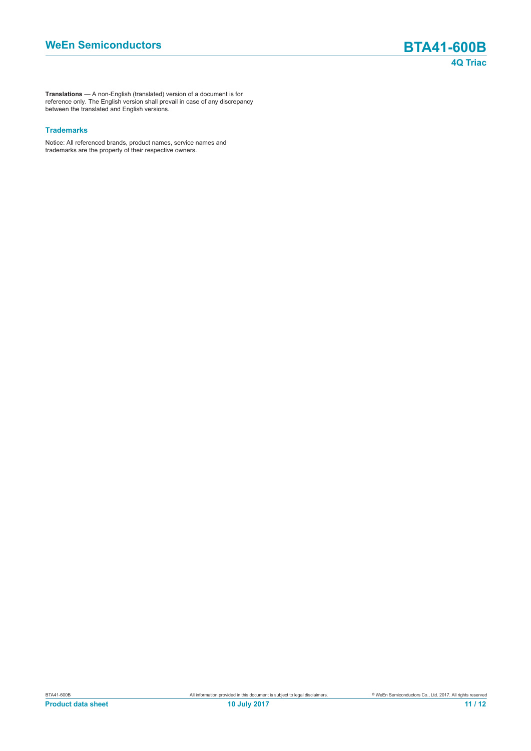**Translations** — A non-English (translated) version of a document is for reference only. The English version shall prevail in case of any discrepancy between the translated and English versions.

#### **Trademarks**

Notice: All referenced brands, product names, service names and trademarks are the property of their respective owners.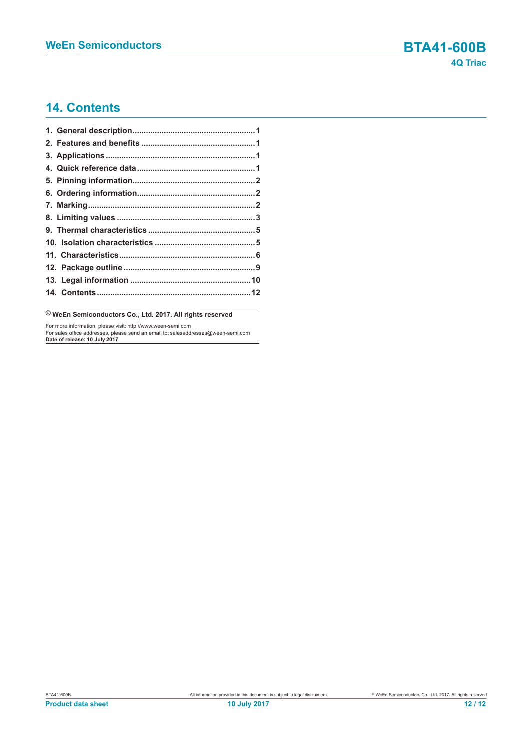#### **14. Contents**

**© WeEn Semiconductors Co., Ltd. 2017. All rights reserved**

For more information, please visit: http://www.ween-semi.com For sales office addresses, please send an email to: salesaddresses@ween-semi.com **Date of release: 10 July 2017**